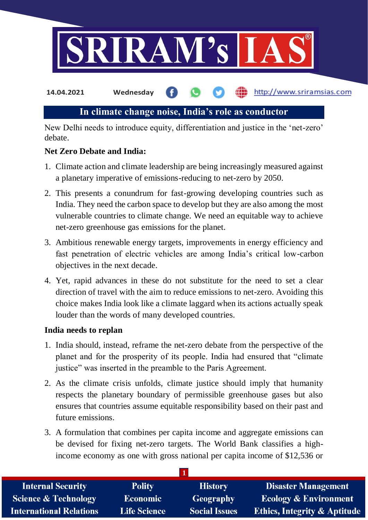

http://www.sriramsias.com **14.04.2021 Wednesday**

# **In climate change noise, India's role as conductor**

New Delhi needs to introduce equity, differentiation and justice in the 'net-zero' debate.

## **Net Zero Debate and India:**

- 1. Climate action and climate leadership are being increasingly measured against a planetary imperative of emissions-reducing to net-zero by 2050.
- 2. This presents a conundrum for fast-growing developing countries such as India. They need the carbon space to develop but they are also among the most vulnerable countries to climate change. We need an equitable way to achieve net-zero greenhouse gas emissions for the planet.
- 3. Ambitious renewable energy targets, improvements in energy efficiency and fast penetration of electric vehicles are among India's critical low-carbon objectives in the next decade.
- 4. Yet, rapid advances in these do not substitute for the need to set a clear direction of travel with the aim to reduce emissions to net-zero. Avoiding this choice makes India look like a climate laggard when its actions actually speak louder than the words of many developed countries.

## **India needs to replan**

- 1. India should, instead, reframe the net-zero debate from the perspective of the planet and for the prosperity of its people. India had ensured that "climate justice" was inserted in the preamble to the Paris Agreement.
- 2. As the climate crisis unfolds, climate justice should imply that humanity respects the planetary boundary of permissible greenhouse gases but also ensures that countries assume equitable responsibility based on their past and future emissions.
- 3. A formulation that combines per capita income and aggregate emissions can be devised for fixing net-zero targets. The World Bank classifies a highincome economy as one with gross national per capita income of \$12,536 or

| <b>Internal Security</b>        | <b>Polity</b>       | <b>History</b>       | <b>Disaster Management</b>              |
|---------------------------------|---------------------|----------------------|-----------------------------------------|
| <b>Science &amp; Technology</b> | <b>Economic</b>     | <b>Geography</b>     | <b>Ecology &amp; Environment</b>        |
| <b>International Relations</b>  | <b>Life Science</b> | <b>Social Issues</b> | <b>Ethics, Integrity &amp; Aptitude</b> |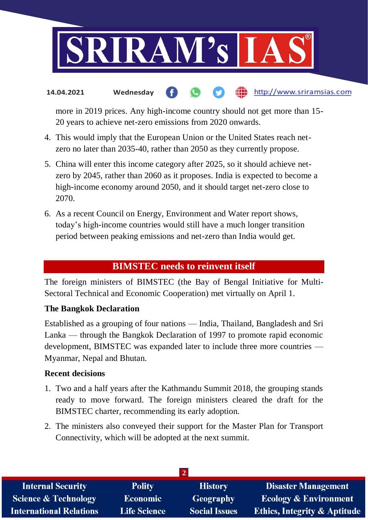

#### http://www.sriramsias.com **14.04.2021 Wednesday**

more in 2019 prices. Any high-income country should not get more than 15- 20 years to achieve net-zero emissions from 2020 onwards.

- 4. This would imply that the European Union or the United States reach netzero no later than 2035-40, rather than 2050 as they currently propose.
- 5. China will enter this income category after 2025, so it should achieve netzero by 2045, rather than 2060 as it proposes. India is expected to become a high-income economy around 2050, and it should target net-zero close to 2070.
- 6. As a recent Council on Energy, Environment and Water report shows, today's high-income countries would still have a much longer transition period between peaking emissions and net-zero than India would get.

# **BIMSTEC needs to reinvent itself**

The foreign ministers of BIMSTEC (the Bay of Bengal Initiative for Multi-Sectoral Technical and Economic Cooperation) met virtually on April 1.

## **The Bangkok Declaration**

Established as a grouping of four nations — India, Thailand, Bangladesh and Sri Lanka — through the Bangkok Declaration of 1997 to promote rapid economic development, BIMSTEC was expanded later to include three more countries — Myanmar, Nepal and Bhutan.

#### **Recent decisions**

- 1. Two and a half years after the Kathmandu Summit 2018, the grouping stands ready to move forward. The foreign ministers cleared the draft for the BIMSTEC charter, recommending its early adoption.
- 2. The ministers also conveyed their support for the Master Plan for Transport Connectivity, which will be adopted at the next summit.

| <b>Internal Security</b>        | <b>Polity</b>       | <b>History</b>       | <b>Disaster Management</b>              |  |  |  |
|---------------------------------|---------------------|----------------------|-----------------------------------------|--|--|--|
| <b>Science &amp; Technology</b> | <b>Economic</b>     | <b>Geography</b>     | <b>Ecology &amp; Environment</b>        |  |  |  |
| <b>International Relations</b>  | <b>Life Science</b> | <b>Social Issues</b> | <b>Ethics, Integrity &amp; Aptitude</b> |  |  |  |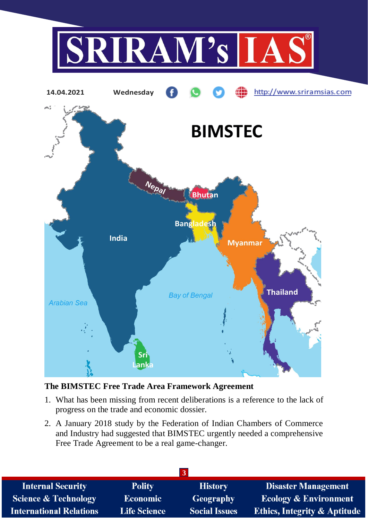



# **The BIMSTEC Free Trade Area Framework Agreement**

- 1. What has been missing from recent deliberations is a reference to the lack of progress on the trade and economic dossier.
- 2. A January 2018 study by the Federation of Indian Chambers of Commerce and Industry had suggested that BIMSTEC urgently needed a comprehensive Free Trade Agreement to be a real game-changer.

| <b>Internal Security</b>        | <b>Polity</b>       | <b>History</b>       | <b>Disaster Management</b>              |  |  |  |
|---------------------------------|---------------------|----------------------|-----------------------------------------|--|--|--|
| <b>Science &amp; Technology</b> | <b>Economic</b>     | <b>Geography</b>     | <b>Ecology &amp; Environment</b>        |  |  |  |
| <b>International Relations</b>  | <b>Life Science</b> | <b>Social Issues</b> | <b>Ethics, Integrity &amp; Aptitude</b> |  |  |  |